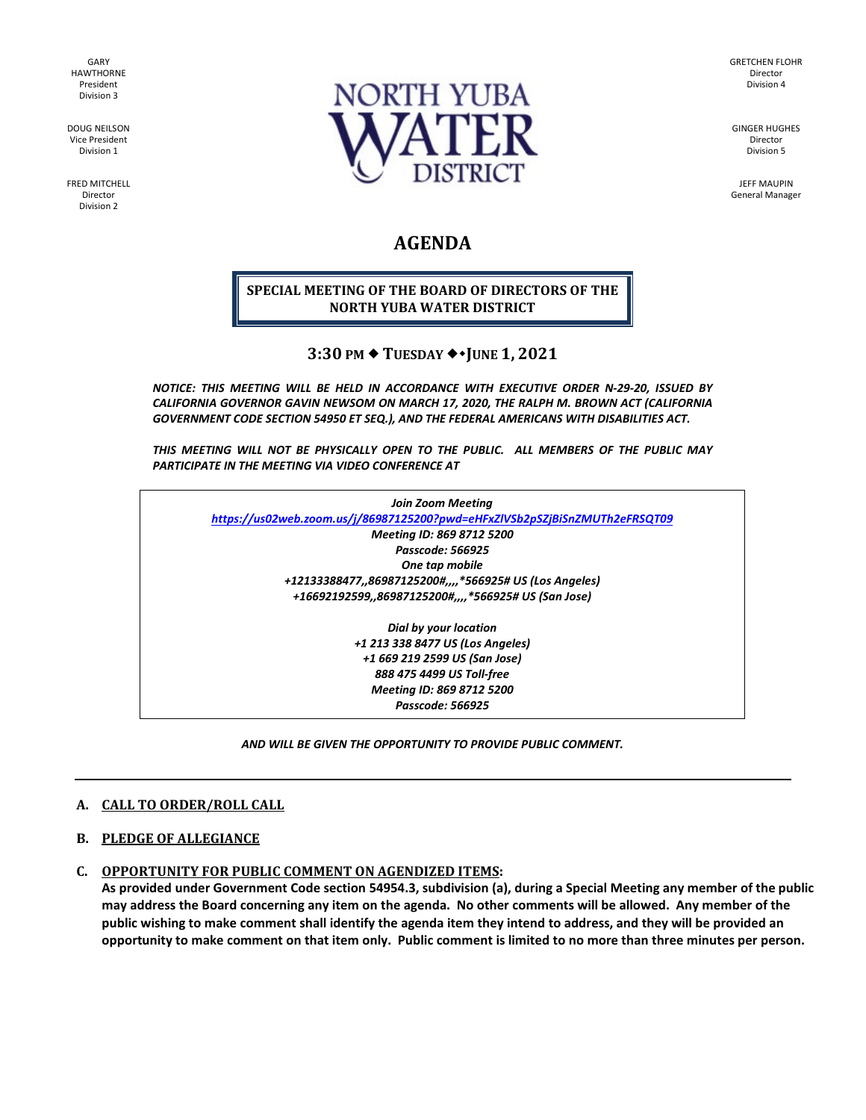GARY HAWTHORNE President Division 3

DOUG NEILSON Vice President Division 1

FRED MITCHELL Director Division 2



GRETCHEN FLOHR Director Division 4

GINGER HUGHES Director Division 5

JEFF MAUPIN General Manager

# **AGENDA**

### **SPECIAL MEETING OF THE BOARD OF DIRECTORS OF THE NORTH YUBA WATER DISTRICT**

## **3:30 PM TUESDAY JUNE 1, 2021**

*NOTICE: THIS MEETING WILL BE HELD IN ACCORDANCE WITH EXECUTIVE ORDER N-29-20, ISSUED BY CALIFORNIA GOVERNOR GAVIN NEWSOM ON MARCH 17, 2020, THE RALPH M. BROWN ACT (CALIFORNIA GOVERNMENT CODE SECTION 54950 ET SEQ.), AND THE FEDERAL AMERICANS WITH DISABILITIES ACT.* 

*THIS MEETING WILL NOT BE PHYSICALLY OPEN TO THE PUBLIC. ALL MEMBERS OF THE PUBLIC MAY PARTICIPATE IN THE MEETING VIA VIDEO CONFERENCE AT* 

| Join Zoom Meeting                                                          |
|----------------------------------------------------------------------------|
| https://us02web.zoom.us/j/86987125200?pwd=eHFxZlVSb2pSZjBiSnZMUTh2eFRSQT09 |
| Meeting ID: 869 8712 5200                                                  |
| Passcode: 566925                                                           |
| One tap mobile                                                             |
| +12133388477,,86987125200#,,,,*566925# US (Los Angeles)                    |
| +16692192599,,86987125200#,,,,*566925# US (San Jose)                       |
| Dial by your location                                                      |
| +1 213 338 8477 US (Los Angeles)                                           |
| +1 669 219 2599 US (San Jose)                                              |
| 888 475 4499 US Toll-free                                                  |
| Meetina ID: 869 8712 5200                                                  |

*Passcode: 566925*

*AND WILL BE GIVEN THE OPPORTUNITY TO PROVIDE PUBLIC COMMENT.* 

#### **A. CALL TO ORDER/ROLL CALL**

#### **B. PLEDGE OF ALLEGIANCE**

## **C. OPPORTUNITY FOR PUBLIC COMMENT ON AGENDIZED ITEMS:**

**As provided under Government Code section 54954.3, subdivision (a), during a Special Meeting any member of the public may address the Board concerning any item on the agenda. No other comments will be allowed. Any member of the public wishing to make comment shall identify the agenda item they intend to address, and they will be provided an opportunity to make comment on that item only. Public comment is limited to no more than three minutes per person.**